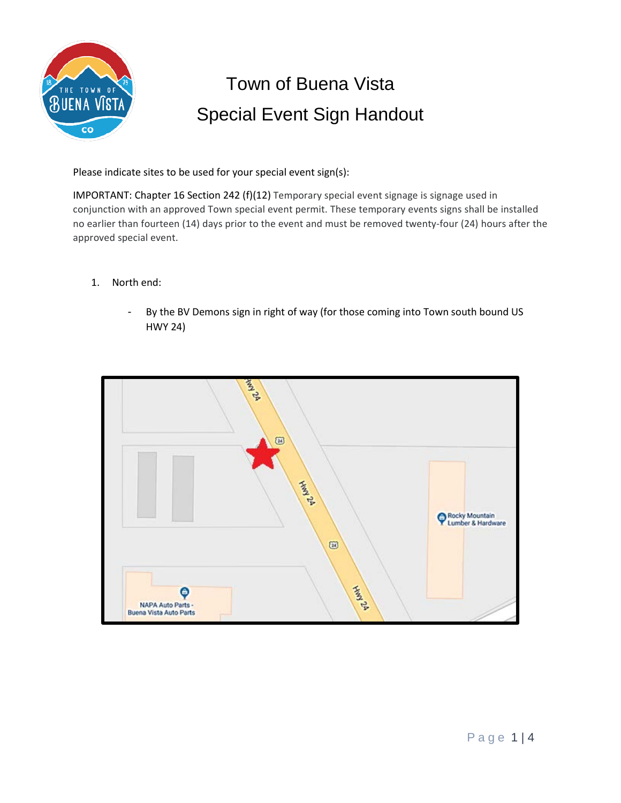

## Town of Buena Vista Special Event Sign Handout

Please indicate sites to be used for your special event sign(s):

IMPORTANT: Chapter 16 Section 242 (f)(12) Temporary special event signage is signage used in conjunction with an approved Town special event permit. These temporary events signs shall be installed no earlier than fourteen (14) days prior to the event and must be removed twenty-four (24) hours after the approved special event.

- 1. North end:
	- By the BV Demons sign in right of way (for those coming into Town south bound US HWY 24)

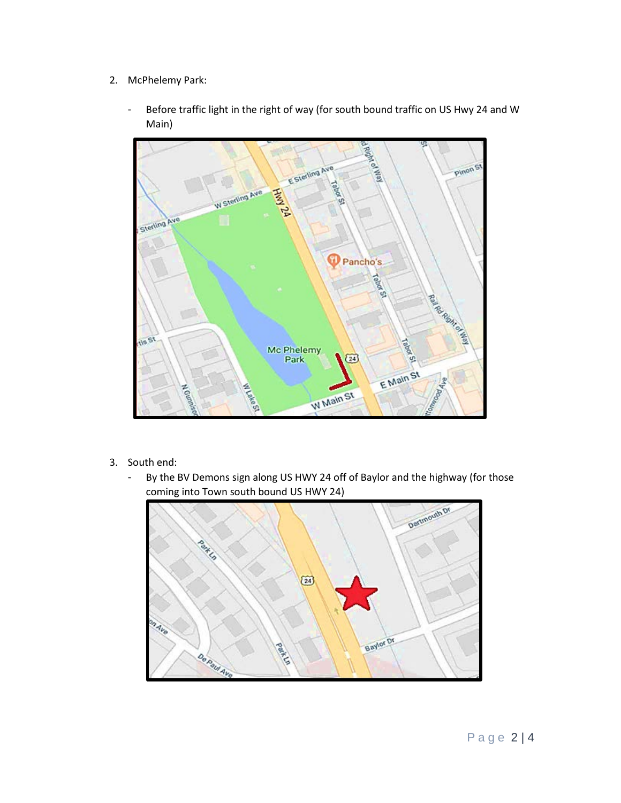- 2. McPhelemy Park:
	- Before traffic light in the right of way (for south bound traffic on US Hwy 24 and W Main)



- 3. South end:
	- By the BV Demons sign along US HWY 24 off of Baylor and the highway (for those coming into Town south bound US HWY 24)

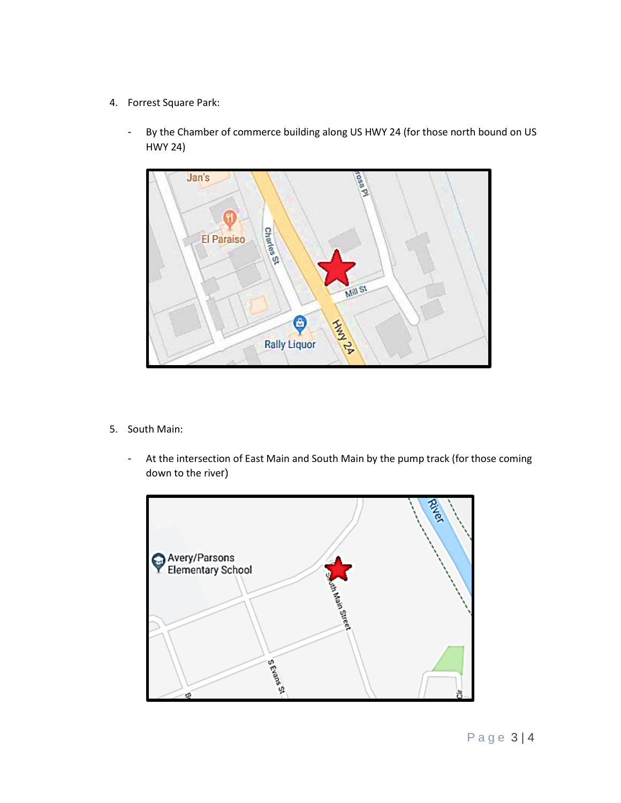- 4. Forrest Square Park:
	- By the Chamber of commerce building along US HWY 24 (for those north bound on US HWY 24)



- 5. South Main:
	- At the intersection of East Main and South Main by the pump track (for those coming down to the river)